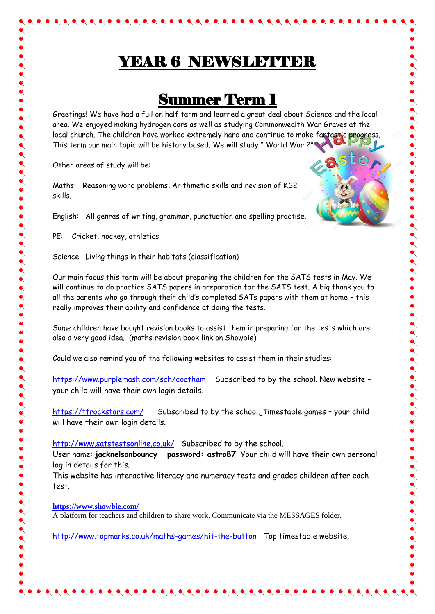## YEAR 6 NEWSLETTER

 $\bullet\hspace{-0.2em}\bullet\hspace{-0.2em}\bullet\hspace{-0.2em}\bullet\hspace{-0.2em}\bullet\hspace{-0.2em}\bullet\hspace{-0.2em}\bullet\hspace{-0.2em}\bullet\hspace{-0.2em}\bullet\hspace{-0.2em}\bullet\hspace{-0.2em}\bullet\hspace{-0.2em}\bullet\hspace{-0.2em}\bullet\hspace{-0.2em}\bullet\hspace{-0.2em}\bullet\hspace{-0.2em}\bullet\hspace{-0.2em}\bullet\hspace{-0.2em}\bullet\hspace{-0.2em}\bullet\hspace{-0.2em}\bullet\hspace{-0.2em}\bullet\hspace{-0.2em}\bullet\hspace{-0.2em$ 

## Summer Term 1

Greetings! We have had a full on half term and learned a great deal about Science and the local area. We enjoyed making hydrogen cars as well as studying Commonwealth War Graves at the local church. The children have worked extremely hard and continue to make fantastic progress. This term our main topic will be history based. We will study " World War 2"

Other areas of study will be:

Maths: Reasoning word problems, Arithmetic skills and revision of KS2 skills.

English: All genres of writing, grammar, punctuation and spelling practise.

PE: Cricket, hockey, athletics

Science: Living things in their habitats (classification)

Our main focus this term will be about preparing the children for the SATS tests in May. We will continue to do practice SATS papers in preparation for the SATS test. A big thank you to all the parents who go through their child's completed SATs papers with them at home – this really improves their ability and confidence at doing the tests.

Some children have bought revision books to assist them in preparing for the tests which are also a very good idea. (maths revision book link on Showbie)

Could we also remind you of the following websites to assist them in their studies:

<https://www.purplemash.com/sch/coatham>Subscribed to by the school. New website – your child will have their own login details.

<https://ttrockstars.com/>Subscribed to by the school. Timestable games – your child will have their own login details.

<http://www.satstestsonline.co.uk/>Subscribed to by the school.

User name: **jacknelsonbouncy password: astro87** Your child will have their own personal log in details for this.

This website has interactive literacy and numeracy tests and grades children after each test.

**<https://www.showbie.com/>**

A platform for teachers and children to share work. Communicate via the MESSAGES folder.

<http://www.topmarks.co.uk/maths-games/hit-the-button> Top timestable website.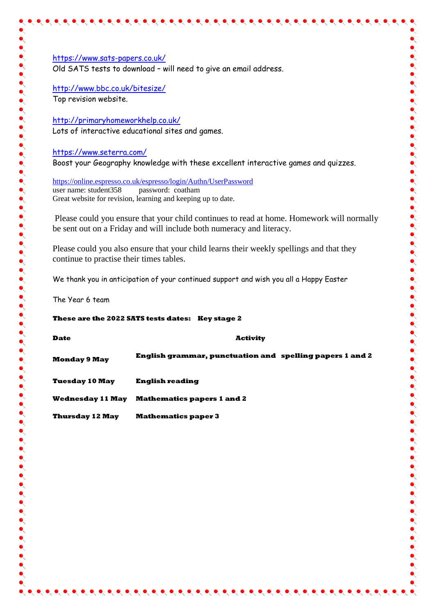<https://www.sats-papers.co.uk/> Old SATS tests to download – will need to give an email address.

<http://www.bbc.co.uk/bitesize/> Top revision website.

<http://primaryhomeworkhelp.co.uk/> Lots of interactive educational sites and games.

<https://www.seterra.com/> Boost your Geography knowledge with these excellent interactive games and quizzes.

<https://online.espresso.co.uk/espresso/login/Authn/UserPassword> user name: student358 password: coatham Great website for revision, learning and keeping up to date.

Please could you ensure that your child continues to read at home. Homework will normally be sent out on a Friday and will include both numeracy and literacy.

Please could you also ensure that your child learns their weekly spellings and that they continue to practise their times tables.

We thank you in anticipation of your continued support and wish you all a Happy Easter

The Year 6 team

**These are the 2022 SATS tests dates: Key stage 2**

| <b>Date</b>             | <b>Activity</b>                                          |
|-------------------------|----------------------------------------------------------|
| <b>Monday 9 May</b>     | English grammar, punctuation and spelling papers 1 and 2 |
| <b>Tuesday 10 May</b>   | English reading                                          |
| <b>Wednesday 11 May</b> | <b>Mathematics papers 1 and 2</b>                        |
| <b>Thursday 12 May</b>  | <b>Mathematics paper 3</b>                               |